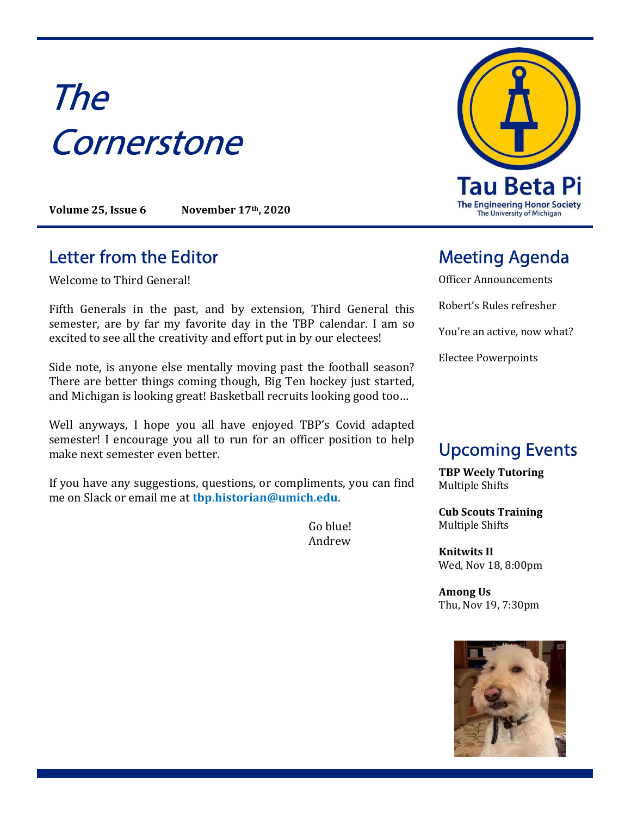# The **Cornerstone**

Volume 25, Issue 6 November 17th, 2020

#### Letter from the Editor **Meeting Agenda**

Welcome to Third General!

Fifth Generals in the past, and by extension, Third General this semester, are by far my favorite day in the TBP calendar. I am so excited to see all the creativity and effort put in by our electees!

Side note, is anyone else mentally moving past the football season? There are better things coming though, Big Ten hockey just started, and Michigan is looking great! Basketball recruits looking good too…

Well anyways, I hope you all have enjoyed TBP's Covid adapted semester! I encourage you all to run for an officer position to help make next semester even better.

If you have any suggestions, questions, or compliments, you can find me on Slack or email me at tbp.historian@umich.edu.

> Go blue! Andrew



Officer Announcements

Robert's Rules refresher

You're an active, now what?

Electee Powerpoints

## Upcoming Events

TBP Weely Tutoring Multiple Shifts

Cub Scouts Training Multiple Shifts

Knitwits II Wed, Nov 18, 8:00pm

Among Us Thu, Nov 19, 7:30pm